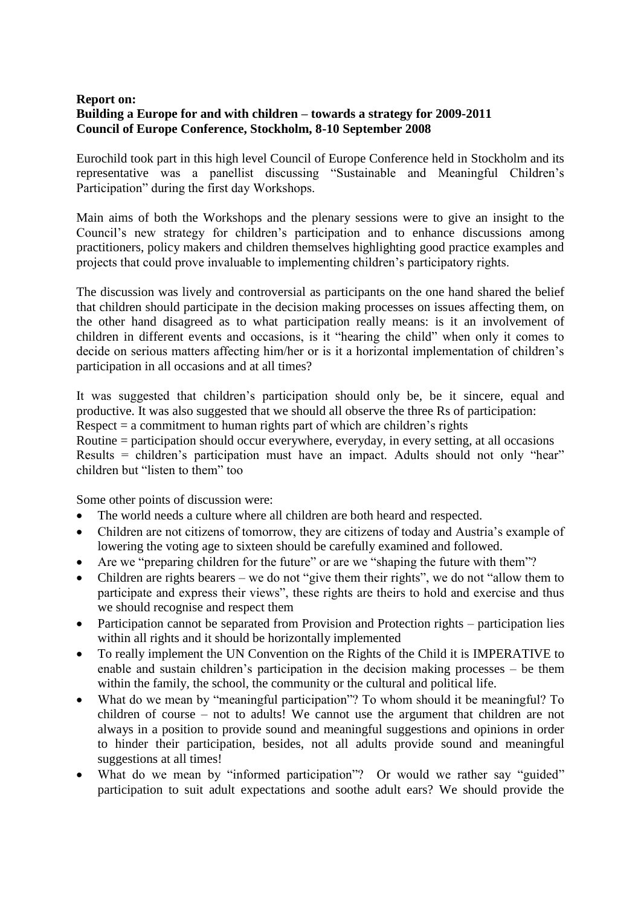## **Report on: Building a Europe for and with children – towards a strategy for 2009-2011 Council of Europe Conference, Stockholm, 8-10 September 2008**

Eurochild took part in this high level Council of Europe Conference held in Stockholm and its representative was a panellist discussing "Sustainable and Meaningful Children's Participation" during the first day Workshops.

Main aims of both the Workshops and the plenary sessions were to give an insight to the Council's new strategy for children's participation and to enhance discussions among practitioners, policy makers and children themselves highlighting good practice examples and projects that could prove invaluable to implementing children's participatory rights.

The discussion was lively and controversial as participants on the one hand shared the belief that children should participate in the decision making processes on issues affecting them, on the other hand disagreed as to what participation really means: is it an involvement of children in different events and occasions, is it "hearing the child" when only it comes to decide on serious matters affecting him/her or is it a horizontal implementation of children's participation in all occasions and at all times?

It was suggested that children's participation should only be, be it sincere, equal and productive. It was also suggested that we should all observe the three Rs of participation: Respect  $=$  a commitment to human rights part of which are children's rights

Routine = participation should occur everywhere, everyday, in every setting, at all occasions Results = children's participation must have an impact. Adults should not only "hear" children but "listen to them" too

Some other points of discussion were:

- The world needs a culture where all children are both heard and respected.
- Children are not citizens of tomorrow, they are citizens of today and Austria's example of lowering the voting age to sixteen should be carefully examined and followed.
- Are we "preparing children for the future" or are we "shaping the future with them"?
- Children are rights bearers we do not "give them their rights", we do not "allow them to participate and express their views", these rights are theirs to hold and exercise and thus we should recognise and respect them
- Participation cannot be separated from Provision and Protection rights participation lies within all rights and it should be horizontally implemented
- To really implement the UN Convention on the Rights of the Child it is IMPERATIVE to enable and sustain children's participation in the decision making processes – be them within the family, the school, the community or the cultural and political life.
- What do we mean by "meaningful participation"? To whom should it be meaningful? To children of course – not to adults! We cannot use the argument that children are not always in a position to provide sound and meaningful suggestions and opinions in order to hinder their participation, besides, not all adults provide sound and meaningful suggestions at all times!
- What do we mean by "informed participation"? Or would we rather say "guided" participation to suit adult expectations and soothe adult ears? We should provide the